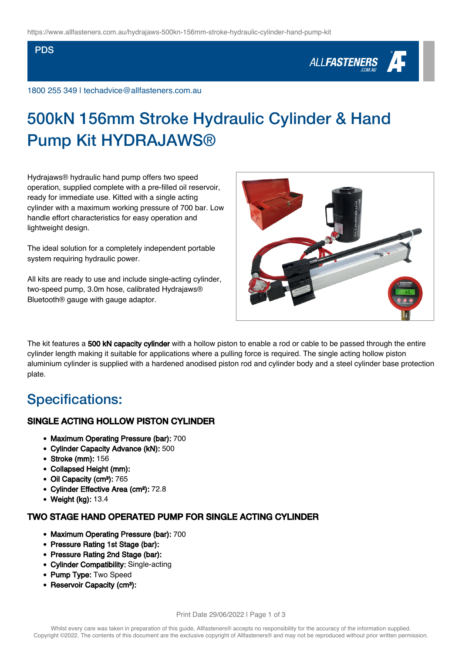#### PDS

# ALL**FASTENERS**

1800 255 349 | techadvice@allfasteners.com.au

## 500kN 156mm Stroke Hydraulic Cylinder & Hand Pump Kit HYDRAJAWS®

Hydrajaws® hydraulic hand pump offers two speed operation, supplied complete with a pre-filled oil reservoir, ready for immediate use. Kitted with a single acting cylinder with a maximum working pressure of 700 bar. Low handle effort characteristics for easy operation and lightweight design.

The ideal solution for a completely independent portable system requiring hydraulic power.

All kits are ready to use and include single-acting cylinder, two-speed pump, 3.0m hose, calibrated Hydrajaws® Bluetooth® gauge with gauge adaptor.



The kit features a 500 kN capacity cylinder with a hollow piston to enable a rod or cable to be passed through the entire cylinder length making it suitable for applications where a pulling force is required. The single acting hollow piston aluminium cylinder is supplied with a hardened anodised piston rod and cylinder body and a steel cylinder base protection plate.

## Specifications:

### SINGLE ACTING HOLLOW PISTON CYLINDER

- Maximum Operating Pressure (bar): 700
- Cylinder Capacity Advance (kN): 500
- Stroke (mm): 156
- Collapsed Height (mm):
- Oil Capacity (cm<sup>3</sup>): 765
- Cylinder Effective Area (cm²): 72.8
- Weight (kg): 13.4

### TWO STAGE HAND OPERATED PUMP FOR SINGLE ACTING CYLINDER

- Maximum Operating Pressure (bar): 700
- Pressure Rating 1st Stage (bar):
- Pressure Rating 2nd Stage (bar):
- Cylinder Compatibility: Single-acting
- Pump Type: Two Speed
- Reservoir Capacity (cm<sup>3</sup>):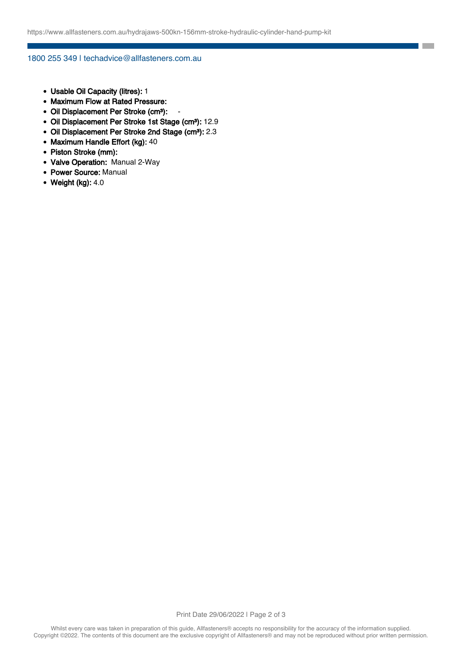**The State** 

1800 255 349 | techadvice@allfasteners.com.au

- Usable Oil Capacity (litres): 1
- Maximum Flow at Rated Pressure:
- Oil Displacement Per Stroke (cm<sup>3</sup>):
- Oil Displacement Per Stroke 1st Stage (cm<sup>3</sup>): 12.9
- Oil Displacement Per Stroke 2nd Stage (cm<sup>3</sup>): 2.3
- Maximum Handle Effort (kg): 40
- Piston Stroke (mm):
- Valve Operation: Manual 2-Way
- Power Source: Manual
- $\bullet$  Weight (kg): 4.0